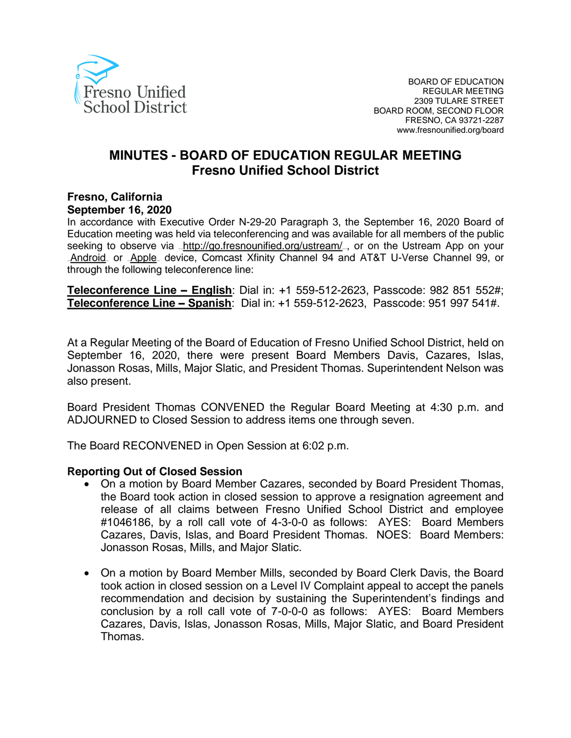

# **MINUTES - BOARD OF EDUCATION REGULAR MEETING Fresno Unified School District**

#### **Fresno, California September 16, 2020**

In accordance with Executive Order N-29-20 Paragraph 3, the September 16, 2020 Board of Education meeting was held via teleconferencing and was available for all members of the public seeking to observe via <http://go.fresnounified.org/ustream/> por on the Ustream App on your [Android](https://play.google.com/store/apps/details?id=tv.ustream.ustream&hl=en_US) or [Apple](https://itunes.apple.com/us/app/ustream/id301520250?mt=8) device, Comcast Xfinity Channel 94 and AT&T U-Verse Channel 99, or through the following teleconference line:

**Teleconference Line – English**: Dial in: +1 559-512-2623, Passcode: 982 851 552#; **Teleconference Line – Spanish**: Dial in: +1 559-512-2623, Passcode: 951 997 541#.

At a Regular Meeting of the Board of Education of Fresno Unified School District, held on September 16, 2020, there were present Board Members Davis, Cazares, Islas, Jonasson Rosas, Mills, Major Slatic, and President Thomas. Superintendent Nelson was also present.

Board President Thomas CONVENED the Regular Board Meeting at 4:30 p.m. and ADJOURNED to Closed Session to address items one through seven.

The Board RECONVENED in Open Session at 6:02 p.m.

#### **Reporting Out of Closed Session**

- On a motion by Board Member Cazares, seconded by Board President Thomas, the Board took action in closed session to approve a resignation agreement and release of all claims between Fresno Unified School District and employee #1046186, by a roll call vote of 4-3-0-0 as follows: AYES: Board Members Cazares, Davis, Islas, and Board President Thomas. NOES: Board Members: Jonasson Rosas, Mills, and Major Slatic.
- On a motion by Board Member Mills, seconded by Board Clerk Davis, the Board took action in closed session on a Level IV Complaint appeal to accept the panels recommendation and decision by sustaining the Superintendent's findings and conclusion by a roll call vote of 7-0-0-0 as follows: AYES: Board Members Cazares, Davis, Islas, Jonasson Rosas, Mills, Major Slatic, and Board President Thomas.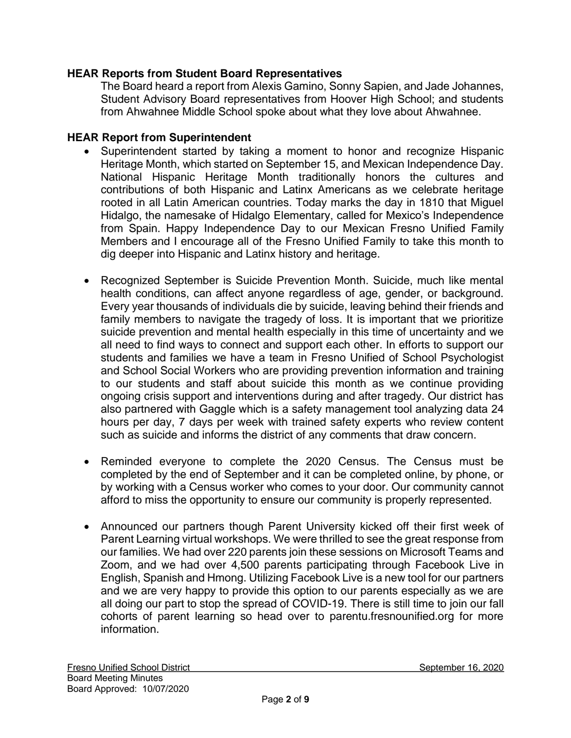### **HEAR Reports from Student Board Representatives**

The Board heard a report from Alexis Gamino, Sonny Sapien, and Jade Johannes, Student Advisory Board representatives from Hoover High School; and students from Ahwahnee Middle School spoke about what they love about Ahwahnee.

#### **HEAR Report from Superintendent**

- Superintendent started by taking a moment to honor and recognize Hispanic Heritage Month, which started on September 15, and Mexican Independence Day. National Hispanic Heritage Month traditionally honors the cultures and contributions of both Hispanic and Latinx Americans as we celebrate heritage rooted in all Latin American countries. Today marks the day in 1810 that Miguel Hidalgo, the namesake of Hidalgo Elementary, called for Mexico's Independence from Spain. Happy Independence Day to our Mexican Fresno Unified Family Members and I encourage all of the Fresno Unified Family to take this month to dig deeper into Hispanic and Latinx history and heritage.
- Recognized September is Suicide Prevention Month. Suicide, much like mental health conditions, can affect anyone regardless of age, gender, or background. Every year thousands of individuals die by suicide, leaving behind their friends and family members to navigate the tragedy of loss. It is important that we prioritize suicide prevention and mental health especially in this time of uncertainty and we all need to find ways to connect and support each other. In efforts to support our students and families we have a team in Fresno Unified of School Psychologist and School Social Workers who are providing prevention information and training to our students and staff about suicide this month as we continue providing ongoing crisis support and interventions during and after tragedy. Our district has also partnered with Gaggle which is a safety management tool analyzing data 24 hours per day, 7 days per week with trained safety experts who review content such as suicide and informs the district of any comments that draw concern.
- Reminded everyone to complete the 2020 Census. The Census must be completed by the end of September and it can be completed online, by phone, or by working with a Census worker who comes to your door. Our community cannot afford to miss the opportunity to ensure our community is properly represented.
- Announced our partners though Parent University kicked off their first week of Parent Learning virtual workshops. We were thrilled to see the great response from our families. We had over 220 parents join these sessions on Microsoft Teams and Zoom, and we had over 4,500 parents participating through Facebook Live in English, Spanish and Hmong. Utilizing Facebook Live is a new tool for our partners and we are very happy to provide this option to our parents especially as we are all doing our part to stop the spread of COVID-19. There is still time to join our fall cohorts of parent learning so head over to parentu.fresnounified.org for more information.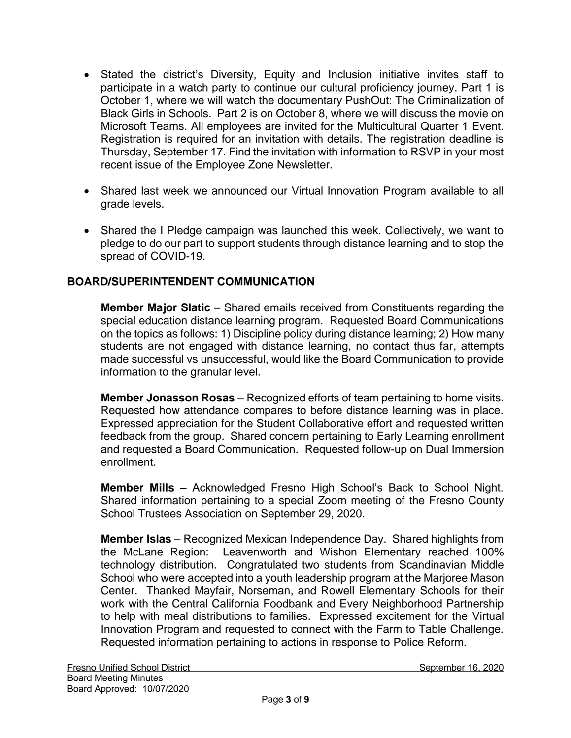- Stated the district's Diversity, Equity and Inclusion initiative invites staff to participate in a watch party to continue our cultural proficiency journey. Part 1 is October 1, where we will watch the documentary PushOut: The Criminalization of Black Girls in Schools. Part 2 is on October 8, where we will discuss the movie on Microsoft Teams. All employees are invited for the Multicultural Quarter 1 Event. Registration is required for an invitation with details. The registration deadline is Thursday, September 17. Find the invitation with information to RSVP in your most recent issue of the Employee Zone Newsletter.
- Shared last week we announced our Virtual Innovation Program available to all grade levels.
- Shared the I Pledge campaign was launched this week. Collectively, we want to pledge to do our part to support students through distance learning and to stop the spread of COVID-19.

### **BOARD/SUPERINTENDENT COMMUNICATION**

**Member Major Slatic** – Shared emails received from Constituents regarding the special education distance learning program. Requested Board Communications on the topics as follows: 1) Discipline policy during distance learning; 2) How many students are not engaged with distance learning, no contact thus far, attempts made successful vs unsuccessful, would like the Board Communication to provide information to the granular level.

**Member Jonasson Rosas** – Recognized efforts of team pertaining to home visits. Requested how attendance compares to before distance learning was in place. Expressed appreciation for the Student Collaborative effort and requested written feedback from the group. Shared concern pertaining to Early Learning enrollment and requested a Board Communication. Requested follow-up on Dual Immersion enrollment.

**Member Mills** – Acknowledged Fresno High School's Back to School Night. Shared information pertaining to a special Zoom meeting of the Fresno County School Trustees Association on September 29, 2020.

**Member Islas** – Recognized Mexican Independence Day. Shared highlights from the McLane Region: Leavenworth and Wishon Elementary reached 100% technology distribution. Congratulated two students from Scandinavian Middle School who were accepted into a youth leadership program at the Marjoree Mason Center. Thanked Mayfair, Norseman, and Rowell Elementary Schools for their work with the Central California Foodbank and Every Neighborhood Partnership to help with meal distributions to families. Expressed excitement for the Virtual Innovation Program and requested to connect with the Farm to Table Challenge. Requested information pertaining to actions in response to Police Reform.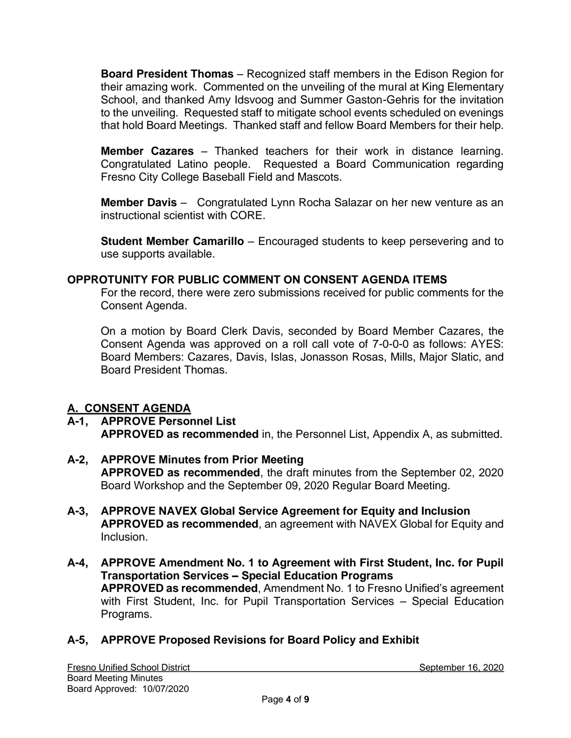**Board President Thomas** – Recognized staff members in the Edison Region for their amazing work. Commented on the unveiling of the mural at King Elementary School, and thanked Amy Idsvoog and Summer Gaston-Gehris for the invitation to the unveiling. Requested staff to mitigate school events scheduled on evenings that hold Board Meetings. Thanked staff and fellow Board Members for their help.

**Member Cazares** – Thanked teachers for their work in distance learning. Congratulated Latino people. Requested a Board Communication regarding Fresno City College Baseball Field and Mascots.

**Member Davis** – Congratulated Lynn Rocha Salazar on her new venture as an instructional scientist with CORE.

**Student Member Camarillo** – Encouraged students to keep persevering and to use supports available.

### **OPPROTUNITY FOR PUBLIC COMMENT ON CONSENT AGENDA ITEMS**

For the record, there were zero submissions received for public comments for the Consent Agenda.

On a motion by Board Clerk Davis, seconded by Board Member Cazares, the Consent Agenda was approved on a roll call vote of 7-0-0-0 as follows: AYES: Board Members: Cazares, Davis, Islas, Jonasson Rosas, Mills, Major Slatic, and Board President Thomas.

### **A. CONSENT AGENDA**

- **A-1, APPROVE Personnel List APPROVED as recommended** in, the Personnel List, Appendix A, as submitted.
- **A-2, APPROVE Minutes from Prior Meeting APPROVED as recommended**, the draft minutes from the September 02, 2020 Board Workshop and the September 09, 2020 Regular Board Meeting.
- **A-3, APPROVE NAVEX Global Service Agreement for Equity and Inclusion APPROVED as recommended**, an agreement with NAVEX Global for Equity and Inclusion.
- **A-4, APPROVE Amendment No. 1 to Agreement with First Student, Inc. for Pupil Transportation Services – Special Education Programs APPROVED as recommended**, Amendment No. 1 to Fresno Unified's agreement with First Student, Inc. for Pupil Transportation Services – Special Education Programs.

## **A-5, APPROVE Proposed Revisions for Board Policy and Exhibit**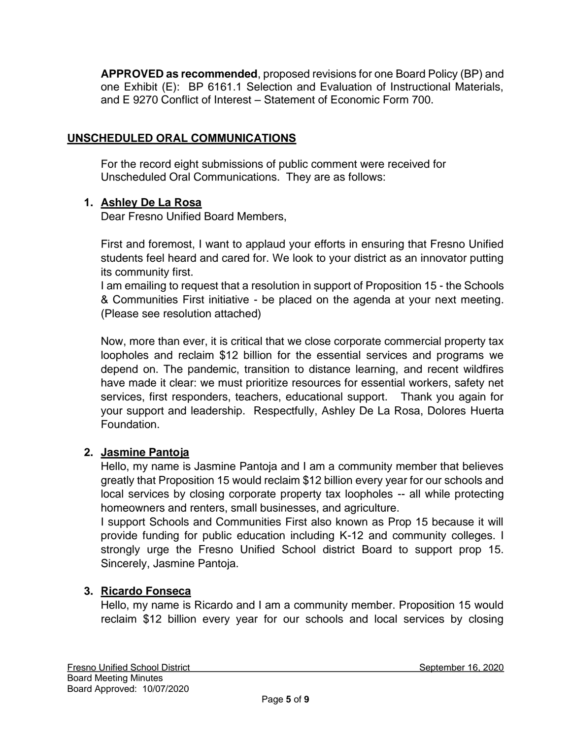**APPROVED as recommended**, proposed revisions for one Board Policy (BP) and one Exhibit (E): BP 6161.1 Selection and Evaluation of Instructional Materials, and E 9270 Conflict of Interest – Statement of Economic Form 700.

## **UNSCHEDULED ORAL COMMUNICATIONS**

For the record eight submissions of public comment were received for Unscheduled Oral Communications. They are as follows:

### **1. Ashley De La Rosa**

Dear Fresno Unified Board Members,

First and foremost, I want to applaud your efforts in ensuring that Fresno Unified students feel heard and cared for. We look to your district as an innovator putting its community first.

I am emailing to request that a resolution in support of Proposition 15 - the Schools & Communities First initiative - be placed on the agenda at your next meeting. (Please see resolution attached)

Now, more than ever, it is critical that we close corporate commercial property tax loopholes and reclaim \$12 billion for the essential services and programs we depend on. The pandemic, transition to distance learning, and recent wildfires have made it clear: we must prioritize resources for essential workers, safety net services, first responders, teachers, educational support. Thank you again for your support and leadership. Respectfully, Ashley De La Rosa, Dolores Huerta Foundation.

### **2. Jasmine Pantoja**

Hello, my name is Jasmine Pantoja and I am a community member that believes greatly that Proposition 15 would reclaim \$12 billion every year for our schools and local services by closing corporate property tax loopholes -- all while protecting homeowners and renters, small businesses, and agriculture.

I support Schools and Communities First also known as Prop 15 because it will provide funding for public education including K-12 and community colleges. I strongly urge the Fresno Unified School district Board to support prop 15. Sincerely, Jasmine Pantoja.

## **3. Ricardo Fonseca**

Hello, my name is Ricardo and I am a community member. Proposition 15 would reclaim \$12 billion every year for our schools and local services by closing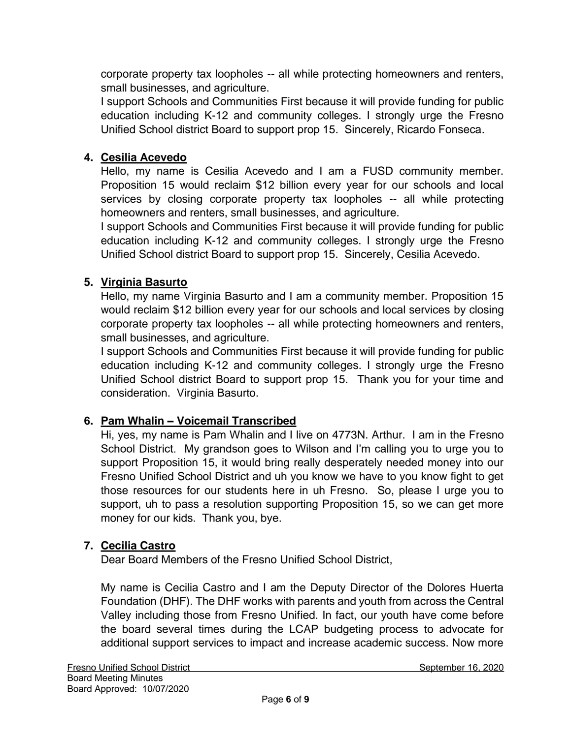corporate property tax loopholes -- all while protecting homeowners and renters, small businesses, and agriculture.

I support Schools and Communities First because it will provide funding for public education including K-12 and community colleges. I strongly urge the Fresno Unified School district Board to support prop 15. Sincerely, Ricardo Fonseca.

### **4. Cesilia Acevedo**

Hello, my name is Cesilia Acevedo and I am a FUSD community member. Proposition 15 would reclaim \$12 billion every year for our schools and local services by closing corporate property tax loopholes -- all while protecting homeowners and renters, small businesses, and agriculture.

I support Schools and Communities First because it will provide funding for public education including K-12 and community colleges. I strongly urge the Fresno Unified School district Board to support prop 15. Sincerely, Cesilia Acevedo.

### **5. Virginia Basurto**

Hello, my name Virginia Basurto and I am a community member. Proposition 15 would reclaim \$12 billion every year for our schools and local services by closing corporate property tax loopholes -- all while protecting homeowners and renters, small businesses, and agriculture.

I support Schools and Communities First because it will provide funding for public education including K-12 and community colleges. I strongly urge the Fresno Unified School district Board to support prop 15. Thank you for your time and consideration. Virginia Basurto.

### **6. Pam Whalin – Voicemail Transcribed**

Hi, yes, my name is Pam Whalin and I live on 4773N. Arthur. I am in the Fresno School District. My grandson goes to Wilson and I'm calling you to urge you to support Proposition 15, it would bring really desperately needed money into our Fresno Unified School District and uh you know we have to you know fight to get those resources for our students here in uh Fresno. So, please I urge you to support, uh to pass a resolution supporting Proposition 15, so we can get more money for our kids. Thank you, bye.

## **7. Cecilia Castro**

Dear Board Members of the Fresno Unified School District,

My name is Cecilia Castro and I am the Deputy Director of the Dolores Huerta Foundation (DHF). The DHF works with parents and youth from across the Central Valley including those from Fresno Unified. In fact, our youth have come before the board several times during the LCAP budgeting process to advocate for additional support services to impact and increase academic success. Now more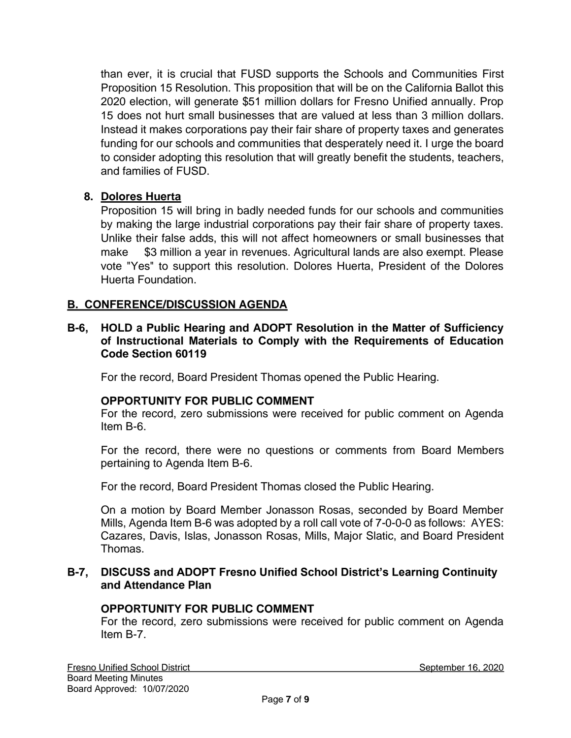than ever, it is crucial that FUSD supports the Schools and Communities First Proposition 15 Resolution. This proposition that will be on the California Ballot this 2020 election, will generate \$51 million dollars for Fresno Unified annually. Prop 15 does not hurt small businesses that are valued at less than 3 million dollars. Instead it makes corporations pay their fair share of property taxes and generates funding for our schools and communities that desperately need it. I urge the board to consider adopting this resolution that will greatly benefit the students, teachers, and families of FUSD.

## **8. Dolores Huerta**

Proposition 15 will bring in badly needed funds for our schools and communities by making the large industrial corporations pay their fair share of property taxes. Unlike their false adds, this will not affect homeowners or small businesses that make \$3 million a year in revenues. Agricultural lands are also exempt. Please vote "Yes" to support this resolution. Dolores Huerta, President of the Dolores Huerta Foundation.

### **B. CONFERENCE/DISCUSSION AGENDA**

#### **B-6, HOLD a Public Hearing and ADOPT Resolution in the Matter of Sufficiency of Instructional Materials to Comply with the Requirements of Education Code Section 60119**

For the record, Board President Thomas opened the Public Hearing.

### **OPPORTUNITY FOR PUBLIC COMMENT**

For the record, zero submissions were received for public comment on Agenda Item B-6.

For the record, there were no questions or comments from Board Members pertaining to Agenda Item B-6.

For the record, Board President Thomas closed the Public Hearing.

On a motion by Board Member Jonasson Rosas, seconded by Board Member Mills, Agenda Item B-6 was adopted by a roll call vote of 7-0-0-0 as follows: AYES: Cazares, Davis, Islas, Jonasson Rosas, Mills, Major Slatic, and Board President Thomas.

#### **B-7, DISCUSS and ADOPT Fresno Unified School District's Learning Continuity and Attendance Plan**

### **OPPORTUNITY FOR PUBLIC COMMENT**

For the record, zero submissions were received for public comment on Agenda Item B-7.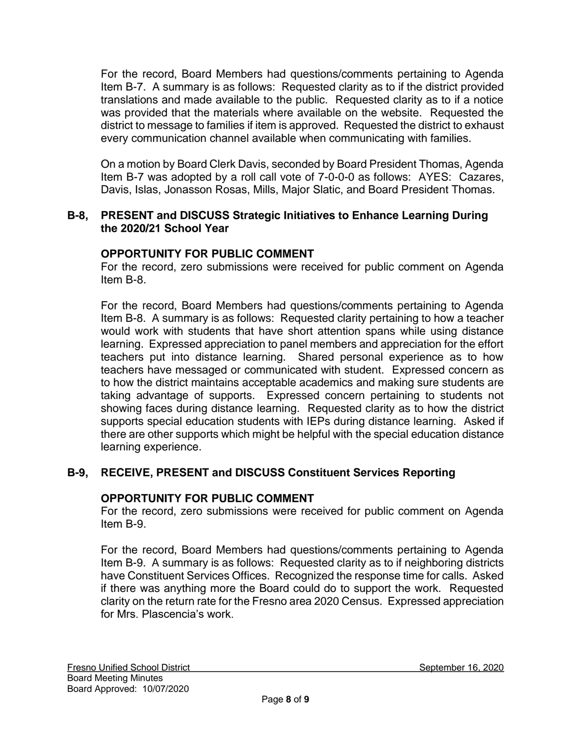For the record, Board Members had questions/comments pertaining to Agenda Item B-7. A summary is as follows: Requested clarity as to if the district provided translations and made available to the public. Requested clarity as to if a notice was provided that the materials where available on the website. Requested the district to message to families if item is approved. Requested the district to exhaust every communication channel available when communicating with families.

On a motion by Board Clerk Davis, seconded by Board President Thomas, Agenda Item B-7 was adopted by a roll call vote of 7-0-0-0 as follows: AYES: Cazares, Davis, Islas, Jonasson Rosas, Mills, Major Slatic, and Board President Thomas.

#### **B-8, PRESENT and DISCUSS Strategic Initiatives to Enhance Learning During the 2020/21 School Year**

### **OPPORTUNITY FOR PUBLIC COMMENT**

For the record, zero submissions were received for public comment on Agenda Item B-8.

For the record, Board Members had questions/comments pertaining to Agenda Item B-8. A summary is as follows: Requested clarity pertaining to how a teacher would work with students that have short attention spans while using distance learning. Expressed appreciation to panel members and appreciation for the effort teachers put into distance learning. Shared personal experience as to how teachers have messaged or communicated with student. Expressed concern as to how the district maintains acceptable academics and making sure students are taking advantage of supports. Expressed concern pertaining to students not showing faces during distance learning. Requested clarity as to how the district supports special education students with IEPs during distance learning. Asked if there are other supports which might be helpful with the special education distance learning experience.

## **B-9, RECEIVE, PRESENT and DISCUSS Constituent Services Reporting**

### **OPPORTUNITY FOR PUBLIC COMMENT**

For the record, zero submissions were received for public comment on Agenda Item B-9.

For the record, Board Members had questions/comments pertaining to Agenda Item B-9. A summary is as follows: Requested clarity as to if neighboring districts have Constituent Services Offices. Recognized the response time for calls. Asked if there was anything more the Board could do to support the work. Requested clarity on the return rate for the Fresno area 2020 Census. Expressed appreciation for Mrs. Plascencia's work.